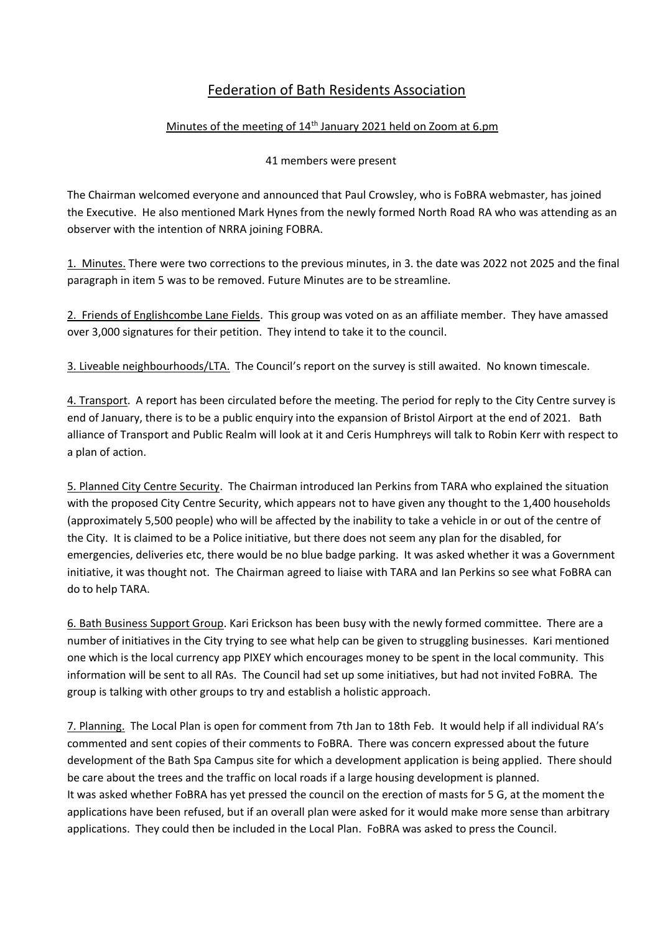## Federation of Bath Residents Association

## Minutes of the meeting of 14<sup>th</sup> January 2021 held on Zoom at 6.pm

## 41 members were present

The Chairman welcomed everyone and announced that Paul Crowsley, who is FoBRA webmaster, has joined the Executive. He also mentioned Mark Hynes from the newly formed North Road RA who was attending as an observer with the intention of NRRA joining FOBRA.

1. Minutes. There were two corrections to the previous minutes, in 3. the date was 2022 not 2025 and the final paragraph in item 5 was to be removed. Future Minutes are to be streamline.

2. Friends of Englishcombe Lane Fields. This group was voted on as an affiliate member. They have amassed over 3,000 signatures for their petition. They intend to take it to the council.

3. Liveable neighbourhoods/LTA. The Council's report on the survey is still awaited. No known timescale.

4. Transport. A report has been circulated before the meeting. The period for reply to the City Centre survey is end of January, there is to be a public enquiry into the expansion of Bristol Airport at the end of 2021. Bath alliance of Transport and Public Realm will look at it and Ceris Humphreys will talk to Robin Kerr with respect to a plan of action.

5. Planned City Centre Security. The Chairman introduced Ian Perkins from TARA who explained the situation with the proposed City Centre Security, which appears not to have given any thought to the 1,400 households (approximately 5,500 people) who will be affected by the inability to take a vehicle in or out of the centre of the City. It is claimed to be a Police initiative, but there does not seem any plan for the disabled, for emergencies, deliveries etc, there would be no blue badge parking. It was asked whether it was a Government initiative, it was thought not. The Chairman agreed to liaise with TARA and Ian Perkins so see what FoBRA can do to help TARA.

6. Bath Business Support Group. Kari Erickson has been busy with the newly formed committee. There are a number of initiatives in the City trying to see what help can be given to struggling businesses. Kari mentioned one which is the local currency app PIXEY which encourages money to be spent in the local community. This information will be sent to all RAs. The Council had set up some initiatives, but had not invited FoBRA. The group is talking with other groups to try and establish a holistic approach.

7. Planning. The Local Plan is open for comment from 7th Jan to 18th Feb. It would help if all individual RA's commented and sent copies of their comments to FoBRA. There was concern expressed about the future development of the Bath Spa Campus site for which a development application is being applied. There should be care about the trees and the traffic on local roads if a large housing development is planned. It was asked whether FoBRA has yet pressed the council on the erection of masts for 5 G, at the moment the applications have been refused, but if an overall plan were asked for it would make more sense than arbitrary applications. They could then be included in the Local Plan. FoBRA was asked to press the Council.